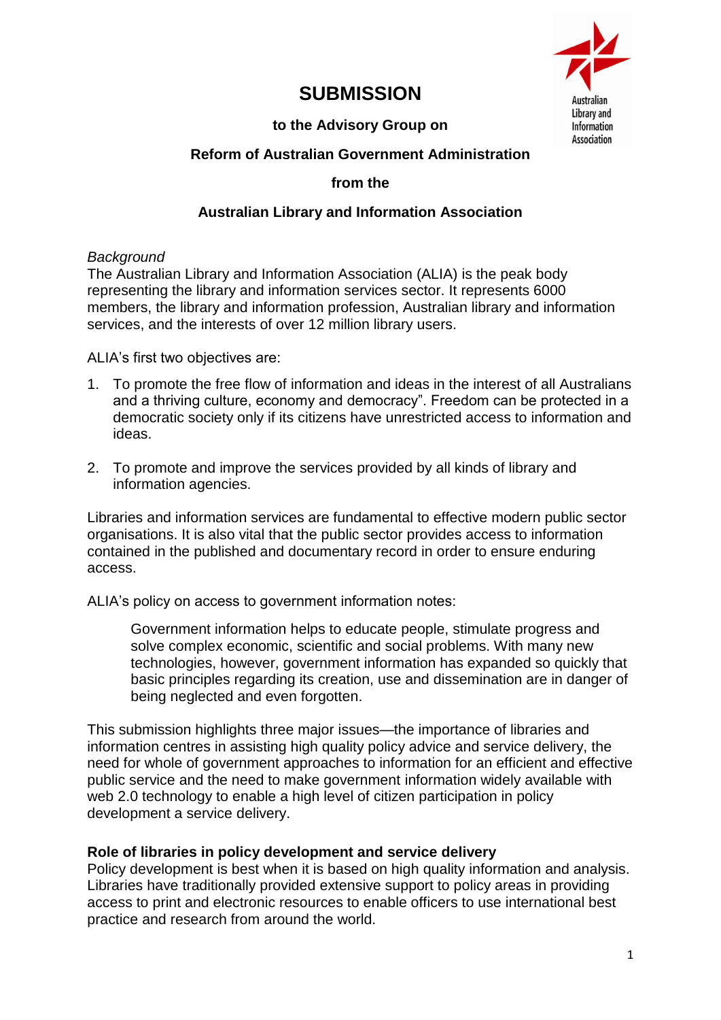

# **SUBMISSION**

# **to the Advisory Group on**

## **Reform of Australian Government Administration**

#### **from the**

## **Australian Library and Information Association**

### *Background*

The Australian Library and Information Association (ALIA) is the peak body representing the library and information services sector. It represents 6000 members, the library and information profession, Australian library and information services, and the interests of over 12 million library users.

ALIA's first two objectives are:

- 1. To promote the free flow of information and ideas in the interest of all Australians and a thriving culture, economy and democracy". Freedom can be protected in a democratic society only if its citizens have unrestricted access to information and ideas.
- 2. To promote and improve the services provided by all kinds of library and information agencies.

Libraries and information services are fundamental to effective modern public sector organisations. It is also vital that the public sector provides access to information contained in the published and documentary record in order to ensure enduring access.

ALIA's policy on access to government information notes:

Government information helps to educate people, stimulate progress and solve complex economic, scientific and social problems. With many new technologies, however, government information has expanded so quickly that basic principles regarding its creation, use and dissemination are in danger of being neglected and even forgotten.

This submission highlights three major issues—the importance of libraries and information centres in assisting high quality policy advice and service delivery, the need for whole of government approaches to information for an efficient and effective public service and the need to make government information widely available with web 2.0 technology to enable a high level of citizen participation in policy development a service delivery.

### **Role of libraries in policy development and service delivery**

Policy development is best when it is based on high quality information and analysis. Libraries have traditionally provided extensive support to policy areas in providing access to print and electronic resources to enable officers to use international best practice and research from around the world.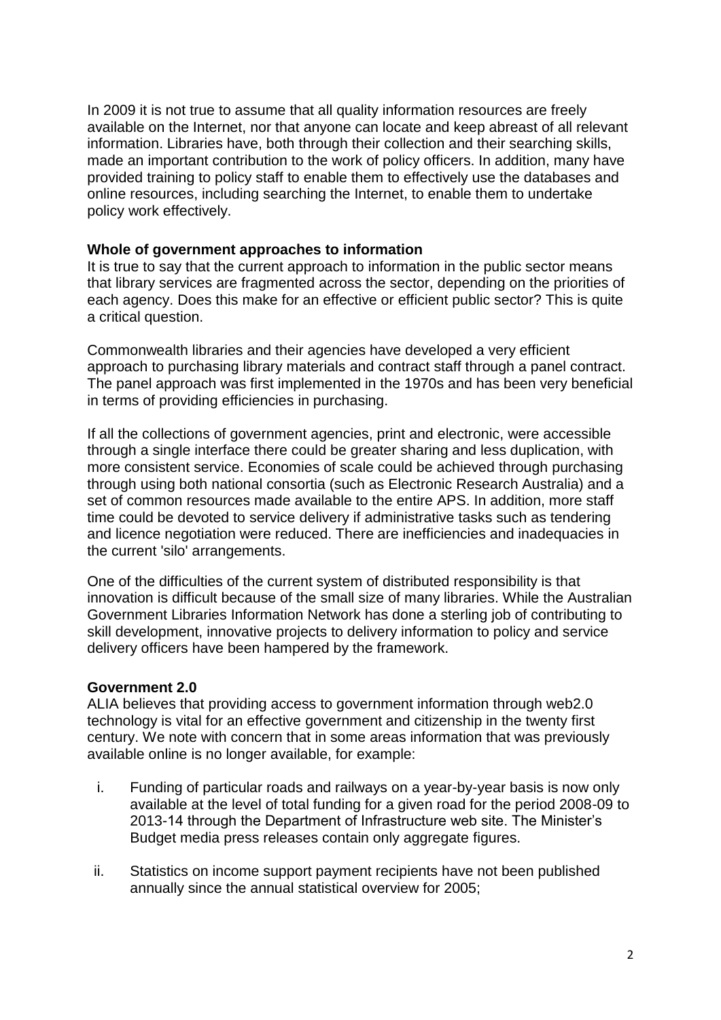In 2009 it is not true to assume that all quality information resources are freely available on the Internet, nor that anyone can locate and keep abreast of all relevant information. Libraries have, both through their collection and their searching skills, made an important contribution to the work of policy officers. In addition, many have provided training to policy staff to enable them to effectively use the databases and online resources, including searching the Internet, to enable them to undertake policy work effectively.

#### **Whole of government approaches to information**

It is true to say that the current approach to information in the public sector means that library services are fragmented across the sector, depending on the priorities of each agency. Does this make for an effective or efficient public sector? This is quite a critical question.

Commonwealth libraries and their agencies have developed a very efficient approach to purchasing library materials and contract staff through a panel contract. The panel approach was first implemented in the 1970s and has been very beneficial in terms of providing efficiencies in purchasing.

If all the collections of government agencies, print and electronic, were accessible through a single interface there could be greater sharing and less duplication, with more consistent service. Economies of scale could be achieved through purchasing through using both national consortia (such as Electronic Research Australia) and a set of common resources made available to the entire APS. In addition, more staff time could be devoted to service delivery if administrative tasks such as tendering and licence negotiation were reduced. There are inefficiencies and inadequacies in the current 'silo' arrangements.

One of the difficulties of the current system of distributed responsibility is that innovation is difficult because of the small size of many libraries. While the Australian Government Libraries Information Network has done a sterling job of contributing to skill development, innovative projects to delivery information to policy and service delivery officers have been hampered by the framework.

#### **Government 2.0**

ALIA believes that providing access to government information through web2.0 technology is vital for an effective government and citizenship in the twenty first century. We note with concern that in some areas information that was previously available online is no longer available, for example:

- i. Funding of particular roads and railways on a year-by-year basis is now only available at the level of total funding for a given road for the period 2008-09 to 2013-14 through the Department of Infrastructure web site. The Minister's Budget media press releases contain only aggregate figures.
- ii. Statistics on income support payment recipients have not been published annually since the annual statistical overview for 2005;